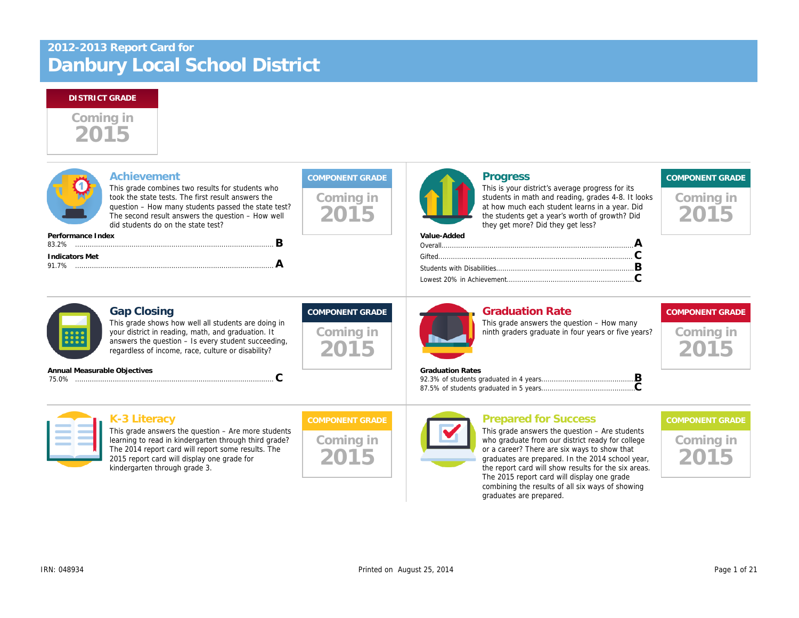# Danbury Local School District 2012-2013 Report Card for

kindergarten through grade 3.

# Coming in 2015

| <b>Achievement</b>             |                                                                                                                                                                                                                                                          |                                             | <b>Progress</b>                                                                                                                                                                                                                                                                                |
|--------------------------------|----------------------------------------------------------------------------------------------------------------------------------------------------------------------------------------------------------------------------------------------------------|---------------------------------------------|------------------------------------------------------------------------------------------------------------------------------------------------------------------------------------------------------------------------------------------------------------------------------------------------|
|                                | This grade combines two results for students who<br>took the state tests. The first result answers the<br>question – How many students passed the state test?<br>The second result answers the question - How well<br>did students do on the state test? | Coming in<br>2015                           | This is your district's average progress f<br>students in math and reading, grades 4-<br>at how much each student learns in a ye<br>the students get a year's worth of growtl<br>they get more? Did they get less?                                                                             |
| Performance Index              | B                                                                                                                                                                                                                                                        |                                             | Value-Added                                                                                                                                                                                                                                                                                    |
| <b>Indicators Met</b><br>91.7% | Α                                                                                                                                                                                                                                                        |                                             |                                                                                                                                                                                                                                                                                                |
|                                | <b>Gap Closing</b><br>This grade shows how well all students are doing in<br>your district in reading, math, and graduation. It<br>answers the question - Is every student succeeding,<br>regardless of income, race, culture or disability?             | <b>COMPONENT GRADE</b><br>Coming in<br>2015 | <b>Graduation Rate</b><br>This grade answers the question - How<br>ninth graders graduate in four years or f                                                                                                                                                                                   |
| Annual Measurable Objectives   | C                                                                                                                                                                                                                                                        |                                             | <b>Graduation Rates</b>                                                                                                                                                                                                                                                                        |
|                                | K-3 Literacy                                                                                                                                                                                                                                             | <b>COMPONENT GRADE</b>                      | <b>Prepared for Success</b>                                                                                                                                                                                                                                                                    |
|                                | This grade answers the question $-$ Are more students<br>learning to read in kindergarten through third grade?<br>The 2014 report card will report some results. The<br>2015 report card will display one grade for<br>.                                 | Coming in                                   | This grade answers the question $-$ Are s<br>who graduate from our district ready for<br>or a career? There are six ways to show<br>graduates are prepared. In the 2014 sch<br>the contract of the contract of the contract of the contract of the contract of the contract of the contract of |

graduates are prepared. In the 2014 sch the report card will show results for the s The 2015 report card will display one gra combining the results of all six ways of s graduates are prepared.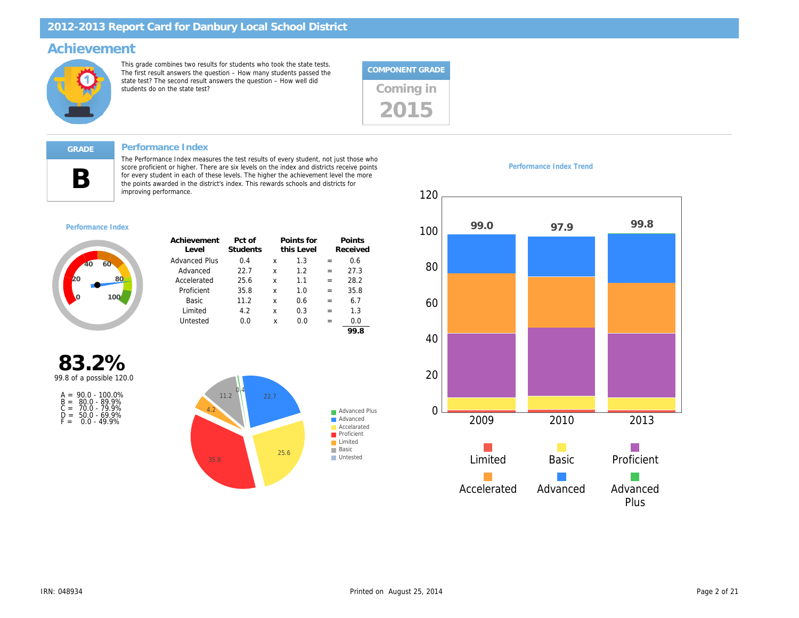### Achievement

This grade combines two results for students who took the state tests. The first result answers the question – How many students passed the state test? The second result answers the question – How well did state test? The second result answers the question – now well did<br>students do on the state test?



#### Performance Index

B

The Performance Index measures the test results of every student, not just those who score proficient or higher. There are six levels on the index and districts receive points for every student in each of these levels. The higher the achievement level the more the points awarded in the district's index. This rewards schools and districts for improving performance.

#### Performance Index

| Achievement<br>Level | Pct of<br>Students |   | Points for<br>this Level |     | Points<br>Received |
|----------------------|--------------------|---|--------------------------|-----|--------------------|
| <b>Advanced Plus</b> | 0.4                | x | 1.3                      | $=$ | 0.6                |
| Advanced             | 22.7               | x | 1.2                      | $=$ | 27.3               |
| Accelerated          | 25.6               | x | 1.1                      | $=$ | 28.2               |
| Proficient           | 35.8               | x | 1.0                      | $=$ | 35.8               |
| Basic                | 11.2               | x | 0.6                      | $=$ | 6.7                |
| Limited              | 4.2                | x | 0.3                      | =   | 1.3                |
| Untested             | 0.0                | x | 0.0                      | =   | 0.0                |
|                      |                    |   |                          |     | 99.8               |

83.2% 99.8 of a possible 120.0

| $A =$ | $90.0 - 100.0\%$    |
|-------|---------------------|
|       | $B = 80.0 - 89.9\%$ |
| $C =$ | 70.0 - 79.9%        |
| D =   | $50.0 - 69.9%$      |
| F =   | $0.0 - 49.9%$       |

Performance Index Trend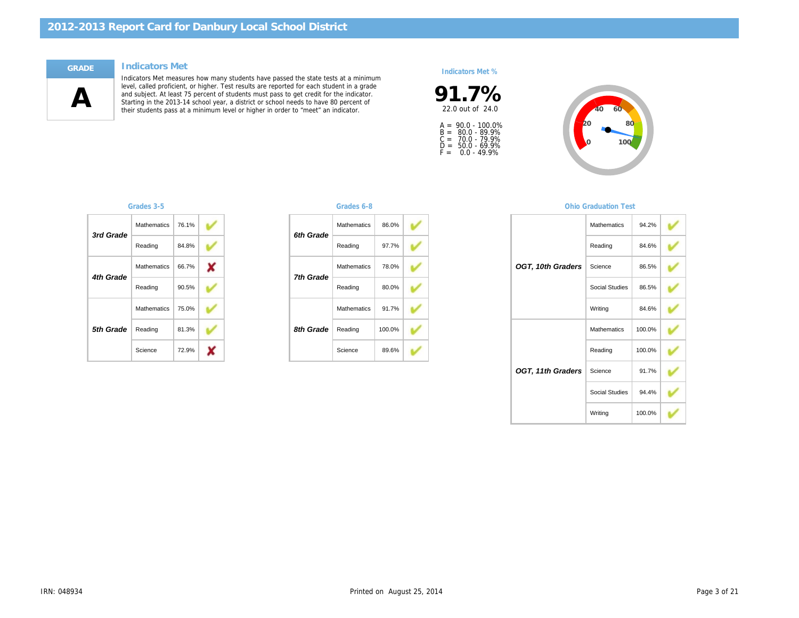#### Indicators Met

 $\mathbf A$ 

Indicators Met measures how many students have passed the state tests at a minimum level, called proficient, or higher. Test results are reported for each student in a grade and subject. At least 75 percent of students must pass to get credit for the indicator. Starting in the 2013-14 school year, a district or school needs to have 80 percent of their students pass at a minimum level or higher in order to "meet" an indicator.

#### Indicators Met %



A =<br>B =<br>C =<br>D =<br>F = 90.0 - 100.0% 80.0 - 89.9% 70.0 - 79.9% 50.0 - 69.9% 0.0 - 49.9%

| 3rd Grade | <b>Mathematics</b> | 76.1% |  |
|-----------|--------------------|-------|--|
|           | Reading            | 84.8% |  |
| 4th Grade | <b>Mathematics</b> | 66.7% |  |
|           | Reading            | 90.5% |  |
|           | <b>Mathematics</b> | 75.0% |  |
| 5th Grade | Reading            | 81.3% |  |
|           | Science            | 72.9% |  |

#### Grades 3-5 Grades 6-8

| <b>Mathematics</b> | 86.0%  |  |
|--------------------|--------|--|
| Reading            | 97.7%  |  |
| <b>Mathematics</b> | 78.0%  |  |
| Reading            | 80.0%  |  |
| <b>Mathematics</b> | 91.7%  |  |
| Reading            | 100.0% |  |
| Science            | 89.6%  |  |
|                    |        |  |

#### **Ohio Graduation**

|                   | Mathemati  |
|-------------------|------------|
|                   | Reading    |
| OGT, 10th Graders | Science    |
|                   | Social Stu |
|                   | Writing    |
|                   | Mathemati  |
|                   | Reading    |
| OGT, 11th Graders | Science    |
|                   | Social Stu |
|                   | Writing    |
|                   |            |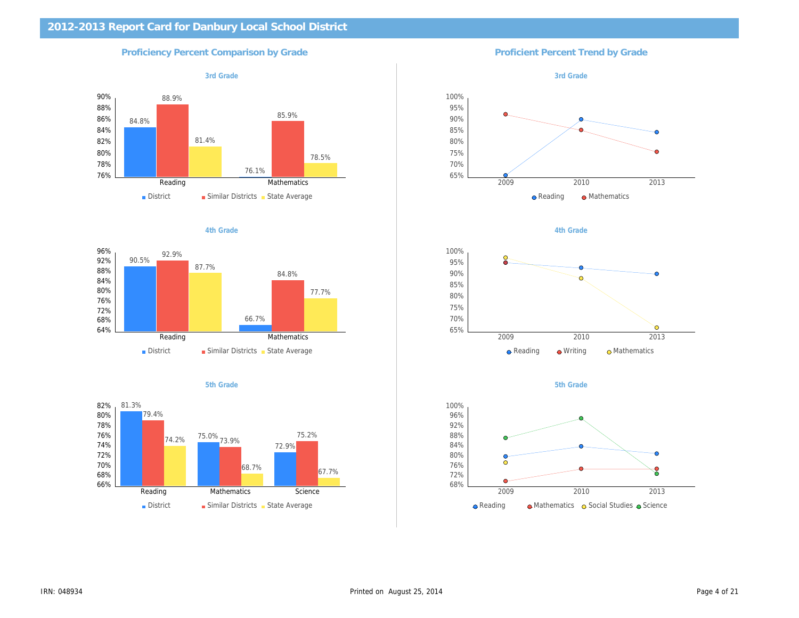| 2012-2013 Report Card for Danbury Local School District |                                        |
|---------------------------------------------------------|----------------------------------------|
| <b>Proficiency Percent Comparison by Grade</b>          | <b>Proficient Percent Trend by Gra</b> |
| 3rd Grade                                               | 3rd Grade                              |
|                                                         |                                        |
|                                                         |                                        |
|                                                         |                                        |
|                                                         |                                        |
|                                                         |                                        |
|                                                         |                                        |
| 4th Grade                                               | 4th Grade                              |
|                                                         |                                        |
|                                                         |                                        |
|                                                         |                                        |
|                                                         |                                        |
|                                                         |                                        |
| 5th Grade                                               | 5th Grade                              |
|                                                         |                                        |
|                                                         |                                        |
|                                                         |                                        |
|                                                         |                                        |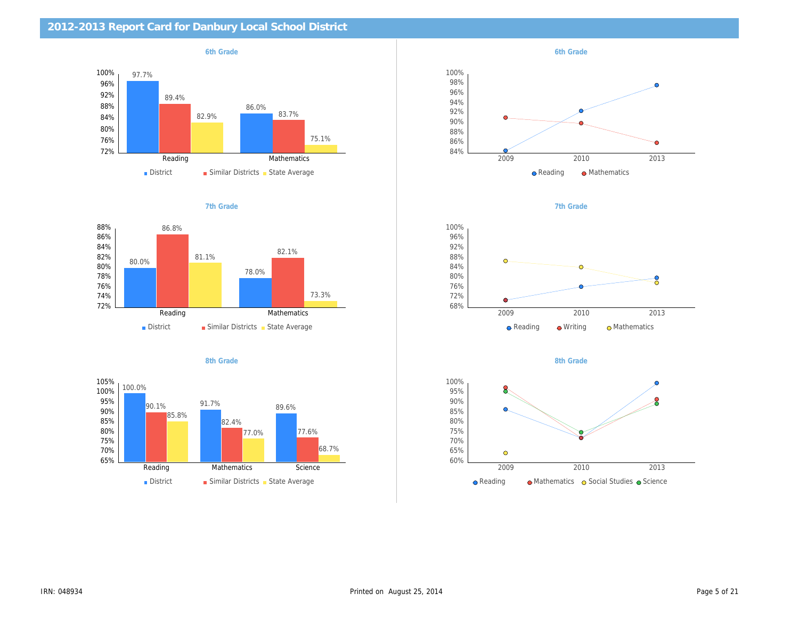| 2012-2013 Report Card for Danbury Local School District |           |
|---------------------------------------------------------|-----------|
| 6th Grade                                               | 6th Grade |
|                                                         |           |
|                                                         |           |
|                                                         |           |
|                                                         |           |
| 7th Grade                                               | 7th Grade |
|                                                         |           |
|                                                         |           |
|                                                         |           |
|                                                         |           |
|                                                         |           |
| 8th Grade                                               | 8th Grade |
|                                                         |           |
|                                                         |           |
|                                                         |           |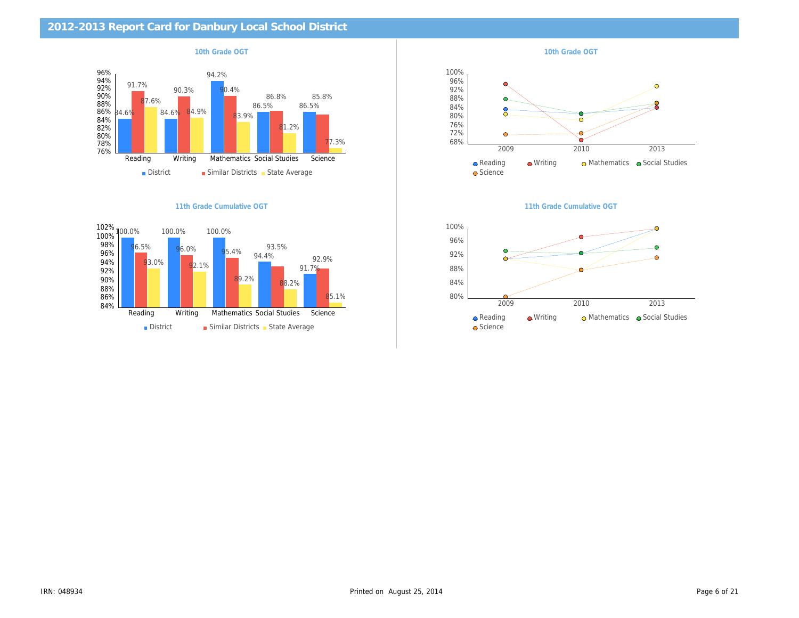| 10th Grade OGT            | 10th Grade OGT            |
|---------------------------|---------------------------|
|                           |                           |
|                           |                           |
|                           |                           |
|                           |                           |
|                           |                           |
| 11th Grade Cumulative OGT | 11th Grade Cumulative OG1 |
|                           |                           |
|                           |                           |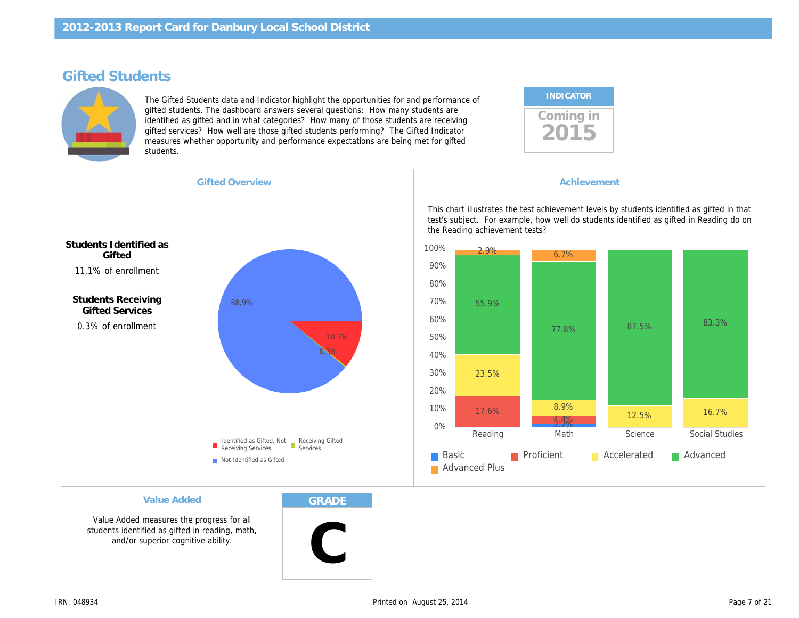## Gifted Students

The Gifted Students data and Indicator highlight the opportunities for and performance of gifted students. The dashboard answers several questions: How many students are identified as gifted and in what categories? How many of those students are receiving gifted services? How well are those gifted students performing? The Gifted Indicator measures whether opportunity and performance expectations are being met for gifted students.

| <b>INDICATOR</b> |  |
|------------------|--|
| coming in        |  |

Gifted Overview **Achievement Achievement Achievement** 

11.1% of enrollment Students Identified as **Gifted** 

> 0.3% of enrollment Students Receiving Gifted Services

This chart illustrates the test achievement levels by test's subject. For example, how well do students i the Reading achievement tests?

Value Added

Value Added measures the progress for all students identified as gifted in reading, math, and/or superior cognitive ability.

GRADE

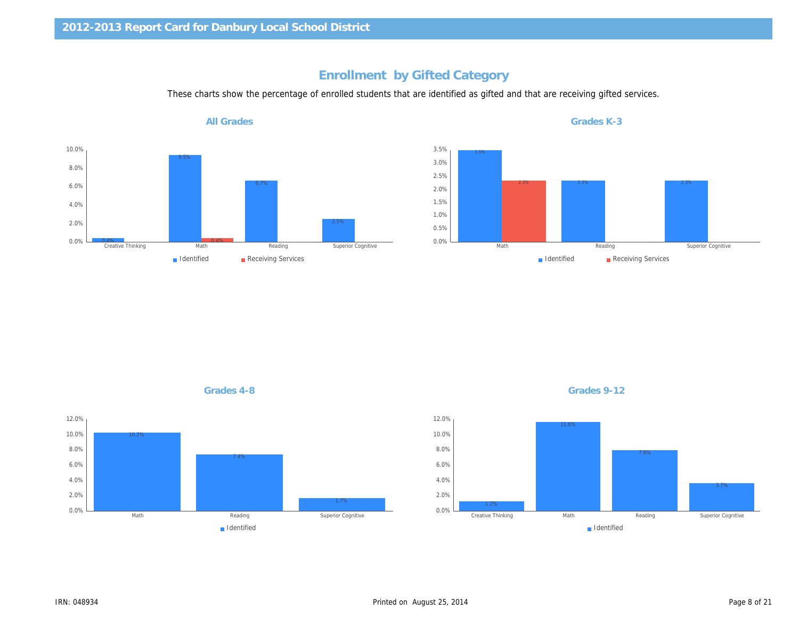## Enrollment by Gifted Category

These charts show the percentage of enrolled students that are identified as gifted and that are receiving gifted

All Grades

Grades 4-8 Grades 9-12

Grades K-3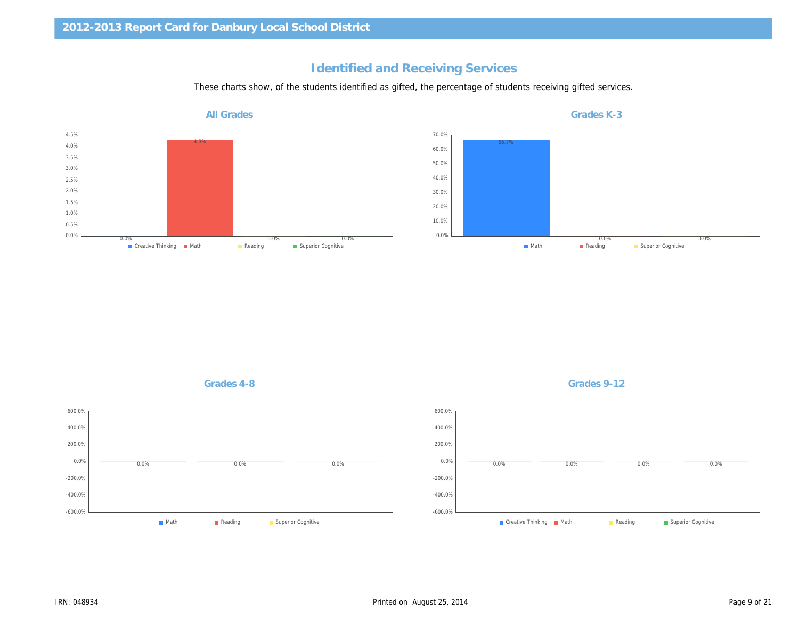## Identified and Receiving Services

These charts show, of the students identified as gifted, the percentage of students receiving gifted service

All Grades

Grades K-3

Grades 4-8 Grades 9-12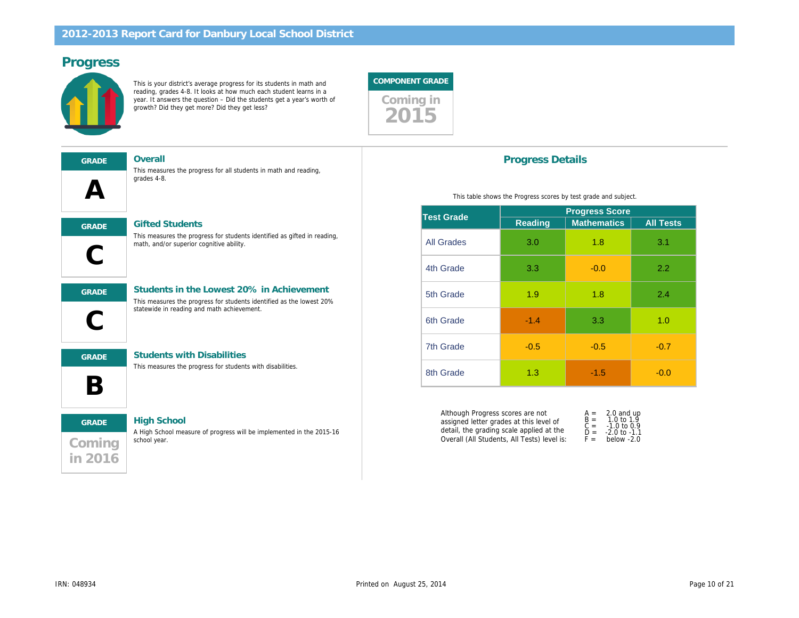## Progress

This is your district's average progress for its students in math and reading, grades 4-8. It looks at how much each student learns in a year. It answers the question – Did the students get a year's worth of growth? Did they get more? Did they get less?



| <b>GRADE</b> |  |
|--------------|--|
|              |  |
|              |  |

Overall

This measures the progress for all students in math and reading, grades 4-8.



This measures the progress for students identified as gifted in reading, math, and/or superior cognitive ability.

l, GRADE Students in the Lowest 20% in Achievement

#### This measures the progress for students identified as the lowest 20% statewide in reading and math achievement.

B

GRADE Students with Disabilities

This measures the progress for students with disabilities.

# **Coming** in 2016 GRADE High School

A High School measure of progress will be implemented in the 2015-16 school year.

### Progress Details

This table shows the Progress scores by test grade and s

| Test Grade        | <b>Progress Sco</b> |                   |  |
|-------------------|---------------------|-------------------|--|
|                   | Reading             | <b>Mathematic</b> |  |
| <b>All Grades</b> | 3.0                 | 1.8               |  |
| 4th Grade         | 3.3                 | $-0.0$            |  |
| 5th Grade         | 1.9                 | 1.8               |  |
| 6th Grade         | $-1.4$              | 3.3               |  |
| 7th Grade         | $-0.5$              | $-0.5$            |  |
| 8th Grade         | 1.3                 | $-1.5$            |  |

Although Progress scores are not assigned letter grades at this level of detail, the grading scale applied at the Overall (All Students, All Tests) level is: A = 2.0<br>B = 1.0<br>C = -1.0<br>D = -2.0<br>F = belo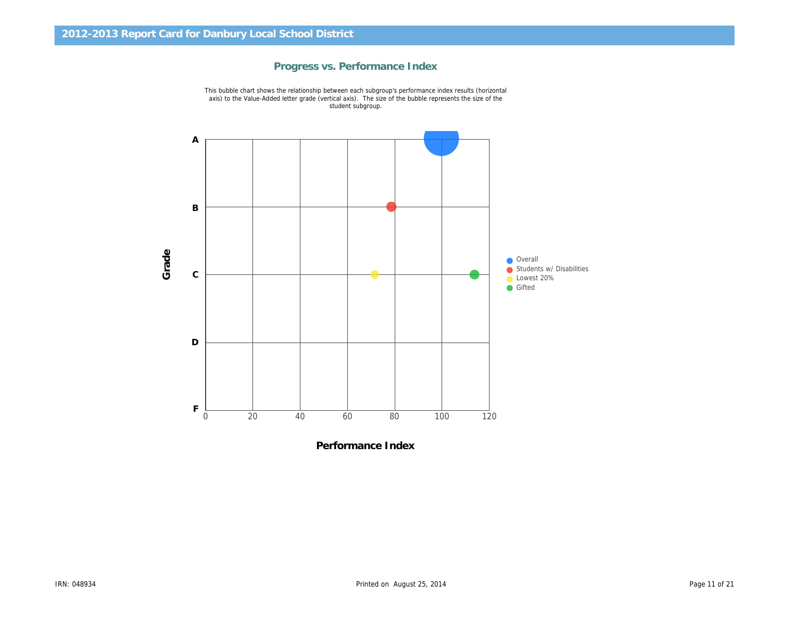

Progress vs. Performance Index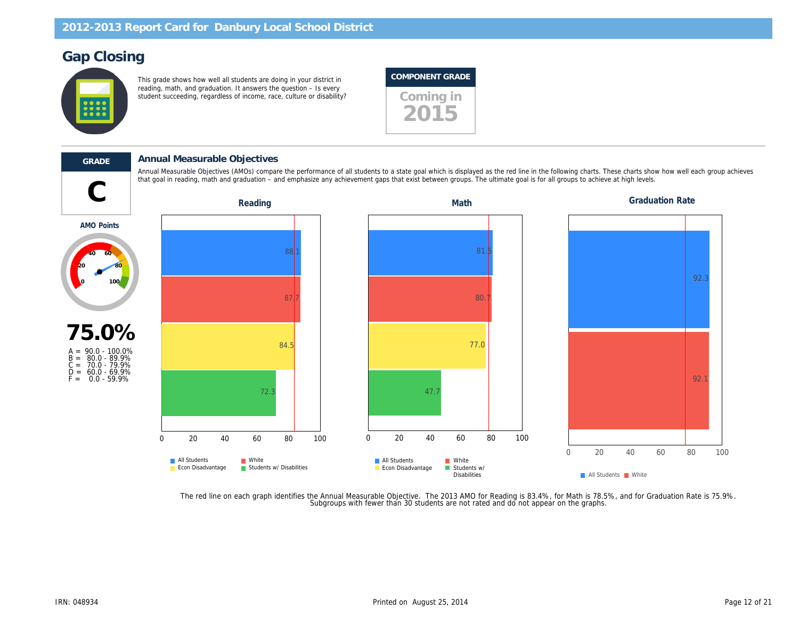## Gap Closing

This grade shows how well all students are doing in your district in reading, math, and graduation. It answers the question – Is every reading, main, and graduation. It answers the question the second theory of community, includent succeeding, regardless of income, race, culture or disability?





#### GRADE Annual Measurable Objectives

that goal in reading, math and graduation – and emphasize any achievement gaps that exist between groups. The ultimate goal is for all groups to achieve at high levels.<br>Reading Math levels. Annual Measurable Objectives (AMOs) compare the performance of all students to a state goal which is displayed as the red line in the following charts. These

AMO Points



The red line on each graph identifies the Annual Measurable Objective. The 2013 AMO for Reading is 83.4%, for Math is 78.5%,<br>.Subgroups with fewer than 30 students are not rated and do not appear on the graphs.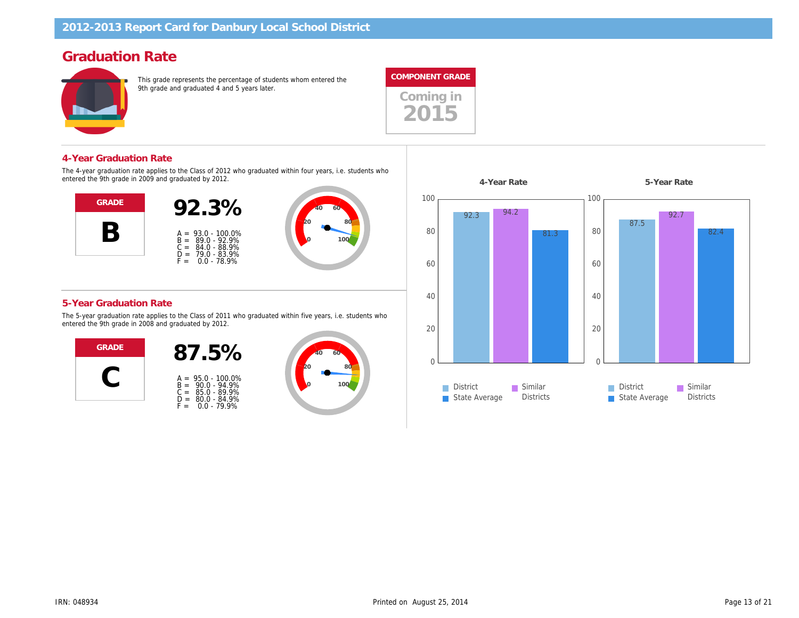## Graduation Rate

This grade represents the percentage of students whom entered the 9th grade and graduated 4 and 5 years later.





#### 4-Year Graduation Rate

The 4-year graduation rate applies to the Class of 2012 who graduated within four years, i.e. students who entered the 9th grade in 2009 and graduated by 2012.



#### 5-Year Graduation Rate

The 5-year graduation rate applies to the Class of 2011 who graduated within five years, i.e. students who entered the 9th grade in 2008 and graduated by 2012.



| $A =$<br>B =<br>$C =$<br>D = | $95.0 - 100.0\%$<br>$90.0 - 94.9%$<br>85.0 - 89.9%<br>80.0 - 84.9%<br>$0.0 - 79.9%$ |
|------------------------------|-------------------------------------------------------------------------------------|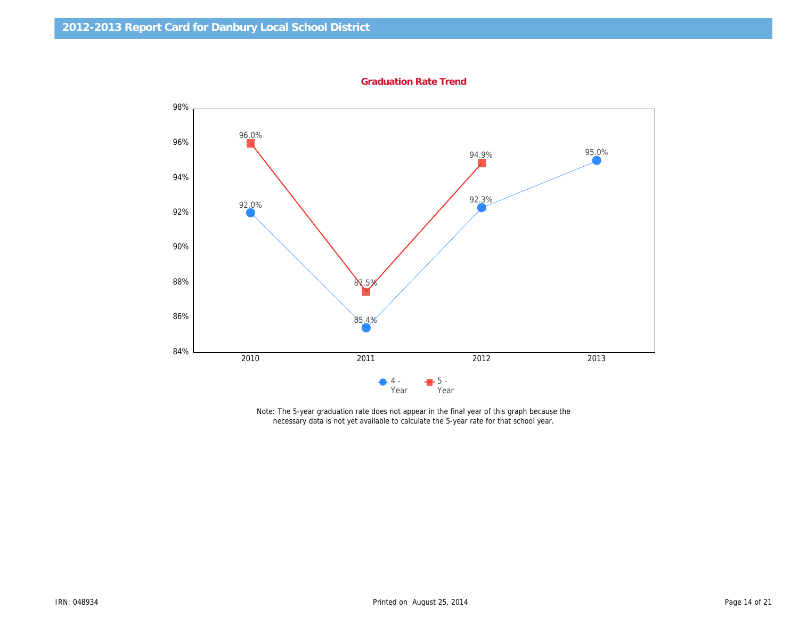Graduation Rate Trend

Note: The 5-year graduation rate does not appear in the final year of this graph because the necessary data is not yet available to calculate the 5-year rate for that school year.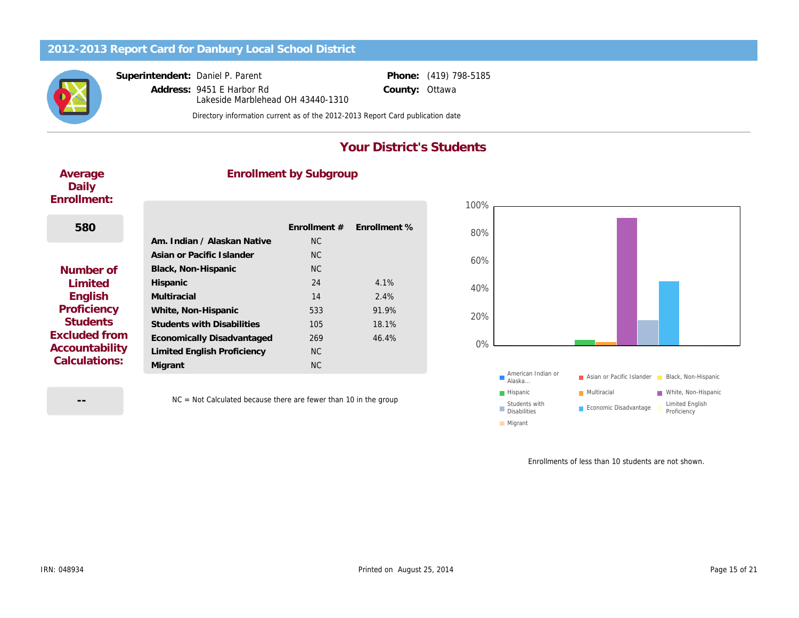Superintendent: Daniel P. Parent

Address: 9451 E Harbor Rd County: Lakeside Marblehead OH 43440-1310

Phone: (419) 798-5185 **Ottawa** 

Directory information current as of the 2012-2013 Report Card publication date

## Your District's Students

Average Daily Enrollment:

## Enrollment by Subgroup

| 580                  |                                   | <b>Enrollment #</b> | Enrollment % |
|----------------------|-----------------------------------|---------------------|--------------|
|                      | Am. Indian / Alaskan Native       | <b>NC</b>           |              |
|                      | Asian or Pacific Islander         | NC.                 |              |
| Number of            | Black, Non-Hispanic               | <b>NC</b>           |              |
| Limited              | Hispanic                          | 24                  | 4.1%         |
| English              | Multiracial                       | 14                  | 2.4%         |
| Proficiency          | White, Non-Hispanic               | 533                 | 91.9%        |
| <b>Students</b>      | <b>Students with Disabilities</b> | 105                 | 18.1%        |
| <b>Excluded from</b> | <b>Economically Disadvantaged</b> | 269                 | 46.4%        |
| Accountability       | Limited English Proficiency       | <b>NC</b>           |              |
| Calculations:        | Migrant                           | <b>NC</b>           |              |
|                      |                                   |                     |              |

--

NC = Not Calculated because there are fewer than 10 in the group

Enrollments of less than 1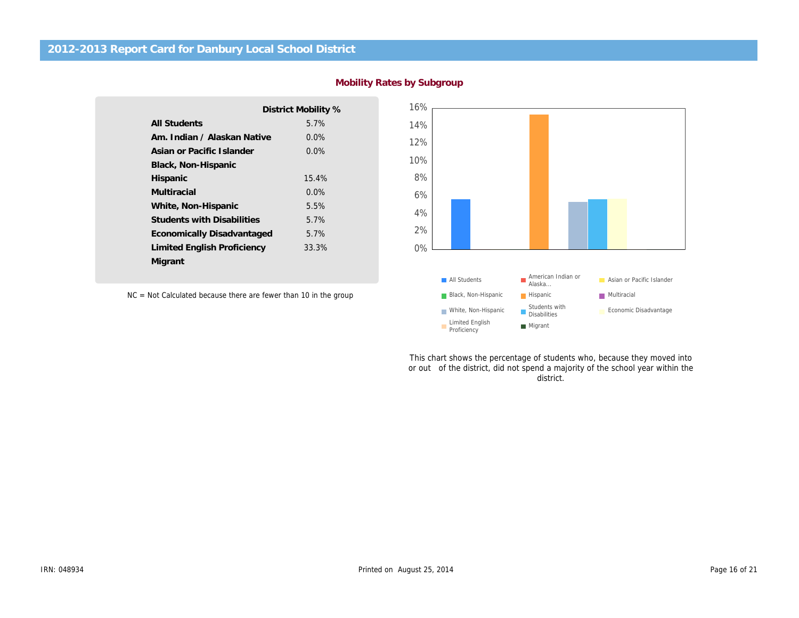|                                   | District Mobility % |
|-----------------------------------|---------------------|
| All Students                      | 5.7%                |
| Am. Indian / Alaskan Native       | $0.0\%$             |
| Asian or Pacific Islander         | $0.0\%$             |
| Black, Non-Hispanic               |                     |
| Hispanic                          | 15.4%               |
| Multiracial                       | 0.0%                |
| White, Non-Hispanic               | 5.5%                |
| <b>Students with Disabilities</b> | 5.7%                |
| Economically Disadvantaged        | 5.7%                |
| Limited English Proficiency       | 33.3%               |
| Migrant                           |                     |
|                                   |                     |

NC = Not Calculated because there are fewer than 10 in the group

This chart shows the percentage of students who, because or out of the district, did not spend a majority of the sch district.

Mobility Rates by Subgroup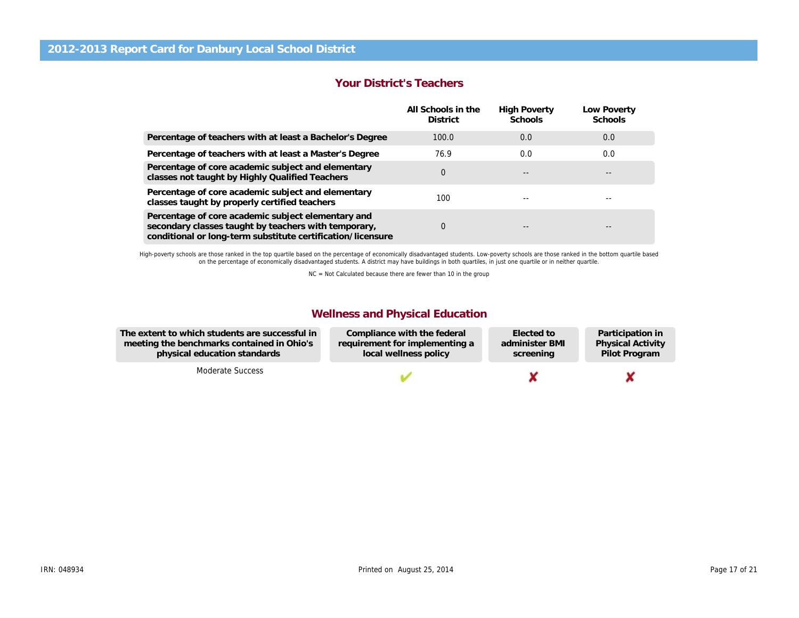#### Your District's Teachers

|                                                                                                                                                                           | All Schools in the<br><b>District</b> | <b>High Poverty</b><br>Schools | Low Pove<br>School |
|---------------------------------------------------------------------------------------------------------------------------------------------------------------------------|---------------------------------------|--------------------------------|--------------------|
| Percentage of teachers with at least a Bachelor's Degree                                                                                                                  | 100.0                                 | 0.0                            | 0.0                |
| Percentage of teachers with at least a Master's Degree                                                                                                                    | 76.9                                  | 0.0                            | 0.0                |
| Percentage of core academic subject and elementary<br>classes not taught by Highly Qualified Teachers                                                                     | 0                                     | $- -$                          |                    |
| Percentage of core academic subject and elementary<br>classes taught by properly certified teachers                                                                       | 100                                   |                                |                    |
| Percentage of core academic subject elementary and<br>secondary classes taught by teachers with temporary,<br>conditional or long-term substitute certification/licensure | 0                                     |                                | --                 |

High-poverty schools are those ranked in the top quartile based on the percentage of economically disadvantaged students. Low-poverty schools are those ranked in the bottom on the percentage of economically disadvantaged students. A district may have buildings in both quartiles, in just one quartile or in neither quartile.

NC = Not Calculated because there are fewer than 10 in the group

### Wellness and Physical Education

The extent to which students are successful in meeting the benchmarks contained in Ohio's physical education standards

Moderate Success

Compliance with the federal requirement for implementing a local wellness policy Elected to administer BMI screening

Partio Physi Pilot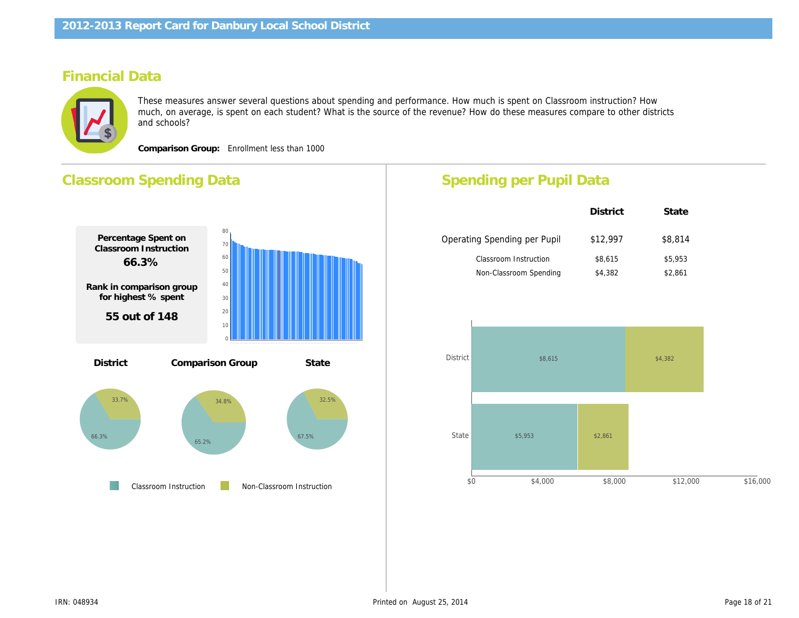## Financial Data

These measures answer several questions about spending and performance. How much is spent on Classroom instru much, on average, is spent on each student? What is the source of the revenue? How do these measures compare to and schools?

Comparison Group: Enrollment less than 1000

## Classroom Spending Data Percentage Spent on Classroom Instruction 66.3% Rank in comparison group for highest % spent 55 out of 148 Percentage Spent for Non-Classroom Instruction 33.7% Rank in comparison group for highest % spent 94 out of 148 Comparison Group State Classroom Instruction Non-Classroom Instruction District Operating Spending per Pupil District \$12,99  $$8,615$ \$4,382 Classroom Instruction Non-Classroom Spending Spending per Pupil Data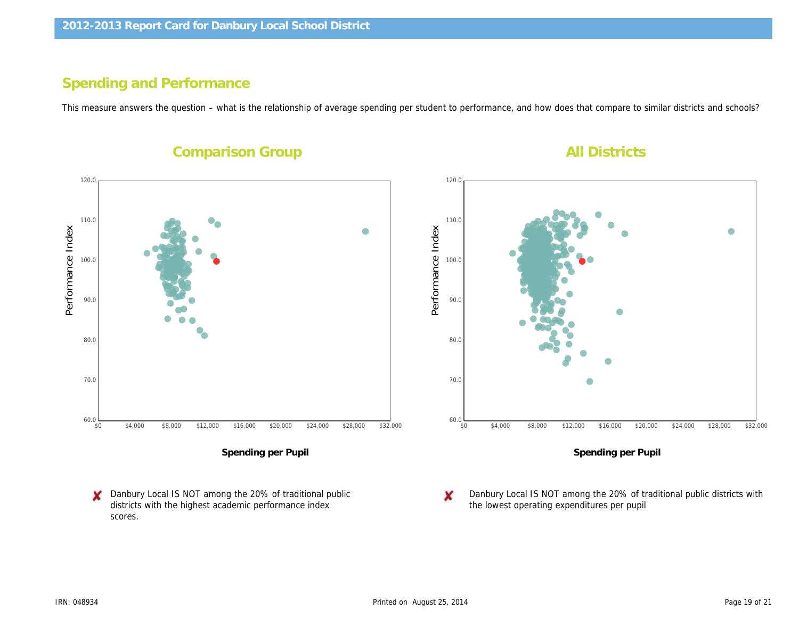# Spending and Performance

This measure answers the question – what is the relationship of average spending per student to performance, and how does that compa

**Comparison Group All Districts and All Districts and All Districts and All Districts and All Districts and All Districts and All Districts and All Districts and All Districts and All Districts and All Districts and All Di** 

Performance Index Performance Index

Spending per Pupil

Danbury Local IS NOT among the 20% of traditional public districts with the highest academic performance index scores.

Spending p

Danbury Local IS NOT among the 2 the lowest operating expenditures pe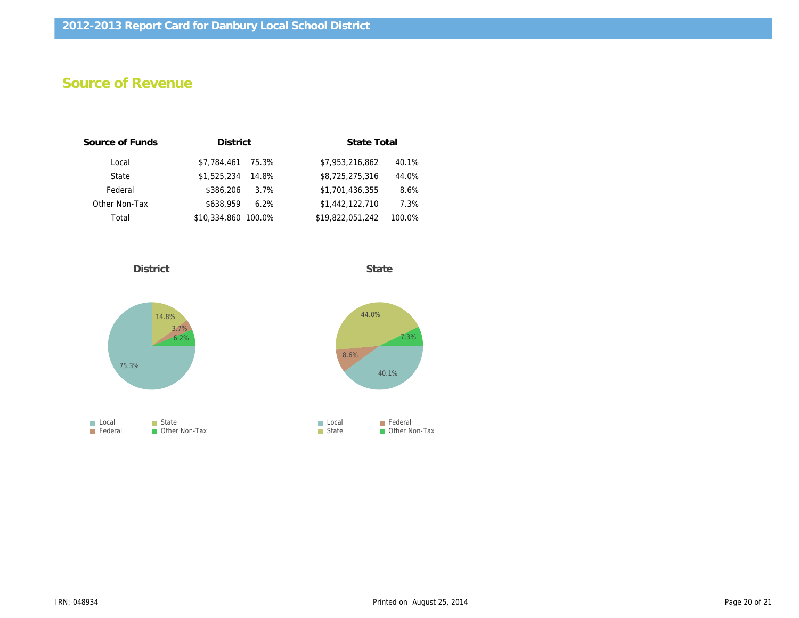# Source of Revenue

| Source of Funds | <b>District</b>     |       | <b>State Total</b> |        |
|-----------------|---------------------|-------|--------------------|--------|
| Local           | \$7.784.461         | 75.3% | \$7,953,216,862    | 40.1%  |
| State           | \$1,525,234         | 14.8% | \$8,725,275,316    | 44.0%  |
| Federal         | \$386,206           | 3.7%  | \$1,701,436,355    | 8.6%   |
| Other Non-Tax   | \$638.959           | 6.2%  | \$1,442,122,710    | 7.3%   |
| Total           | \$10,334,860 100.0% |       | \$19,822,051,242   | 100.0% |